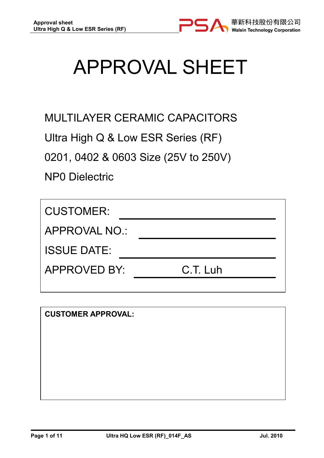

# APPROVAL SHEET

MULTILAYER CERAMIC CAPACITORS

Ultra High Q & Low ESR Series (RF)

0201, 0402 & 0603 Size (25V to 250V)

NP0 Dielectric

| APPROVAL NO.: |  |  |  |  |
|---------------|--|--|--|--|
|               |  |  |  |  |
| C.T. Luh      |  |  |  |  |
|               |  |  |  |  |

CUSTOMER APPROVAL: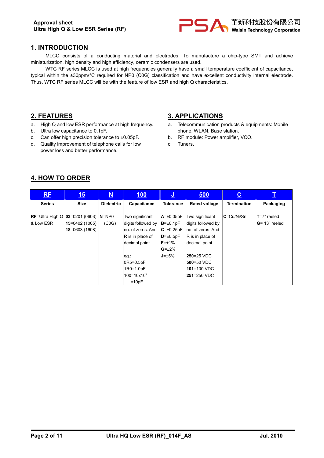

## 1. INTRODUCTION

MLCC consists of a conducting material and electrodes. To manufacture a chip-type SMT and achieve miniaturization, high density and high efficiency, ceramic condensers are used.

WTC RF series MLCC is used at high frequencies generally have a small temperature coefficient of capacitance, typical within the ±30ppm/°C required for NP0 (C0G) classification and have excellent conductivity internal electrode. Thus, WTC RF series MLCC will be with the feature of low ESR and high Q characteristics.

## 2. FEATURES

- a. High Q and low ESR performance at high frequency.
- b. Ultra low capacitance to 0.1pF.
- c. Can offer high precision tolerance to ±0.05pF.
- d. Quality improvement of telephone calls for low power loss and better performance.

## 3. APPLICATIONS

- a. Telecommunication products & equipments: Mobile phone, WLAN, Base station.
- b. RF module: Power amplifier, VCO.
- c. Tuners.

## 4. HOW TO ORDER

| <b>RF</b>                            | 15             | $\underline{\mathbf{N}}$ | 100                      | <u>יש</u>        | 500                  | $\underline{\mathbf{c}}$ | I                |
|--------------------------------------|----------------|--------------------------|--------------------------|------------------|----------------------|--------------------------|------------------|
| <b>Series</b>                        | <b>Size</b>    | <b>Dielectric</b>        | Capacitance              | <b>Tolerance</b> | <b>Rated voltage</b> | <b>Termination</b>       | Packaging        |
|                                      |                |                          |                          |                  |                      |                          |                  |
| $RE=U$ Itra High Q $ 03=0201(0603) $ |                | $N = NP0$                | Two significant          | $A = \pm 0.05pF$ | Two significant      | l <b>C</b> =Cu/Ni/Sn     | $T=7"$ reeled    |
| & Low ESR                            | 15=0402 (1005) | (C <sub>0</sub> G)       | digits followed by       | $B = \pm 0.1pF$  | digits followed by   |                          | $G = 13"$ reeled |
|                                      | 18=0603 (1608) |                          | no. of zeros. And        | $C = \pm 0.25pF$ | no. of zeros. And    |                          |                  |
|                                      |                |                          | R is in place of         | $D=+0.5pF$       | $ R$ is in place of  |                          |                  |
|                                      |                |                          | decimal point.           | $F = \pm 1\%$    | decimal point.       |                          |                  |
|                                      |                |                          |                          | $G=\pm 2\%$      |                      |                          |                  |
|                                      |                |                          | eg.:                     | $J = \pm 5\%$    | 250=25 VDC           |                          |                  |
|                                      |                |                          | 0R5=0.5pF                |                  | 500=50 VDC           |                          |                  |
|                                      |                |                          | 1R0=1.0pF                |                  | $101 = 100 VDC$      |                          |                  |
|                                      |                |                          | $100 = 10 \times 10^{0}$ |                  | 251=250 VDC          |                          |                  |
|                                      |                |                          | $=10pF$                  |                  |                      |                          |                  |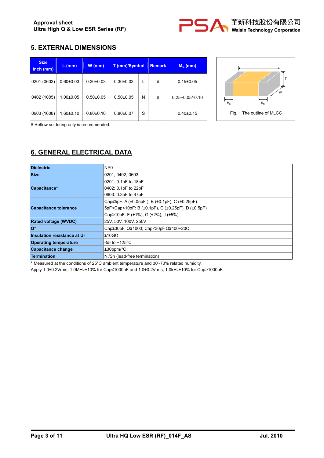# 5. EXTERNAL DIMENSIONS

| <b>Size</b><br>$lnch$ ( $mm$ ) | $L$ (mm)        | $W$ (mm)      | T (mm)/Symbol |   | <b>Remark</b> | $M_B$ (mm)          |
|--------------------------------|-----------------|---------------|---------------|---|---------------|---------------------|
| 0201 (0603)                    | $0.60 \pm 0.03$ | $0.30+0.03$   | $0.30+0.03$   |   | #             | $0.15 \pm 0.05$     |
| 0402 (1005)                    | $1.00 \pm 0.05$ | $0.50+0.05$   | $0.50+0.05$   | N | #             | $0.25 + 0.05/-0.10$ |
| 0603 (1608)                    | $1.60 \pm 0.10$ | $0.80 + 0.10$ | $0.80 + 0.07$ | S |               | $0.40 \pm 0.15$     |



# Reflow soldering only is recommended.

# 6. GENERAL ELECTRICAL DATA

| <b>Dielectric</b>                  | NP <sub>0</sub>                                                                          |  |  |
|------------------------------------|------------------------------------------------------------------------------------------|--|--|
| <b>Size</b>                        | 0201, 0402, 0603                                                                         |  |  |
|                                    | 0201: 0.1pF to 18pF                                                                      |  |  |
| Capacitance*                       | 0402: 0.1pF to 22pF                                                                      |  |  |
|                                    | 0603: 0.3pF to 47pF                                                                      |  |  |
|                                    | Cap≤5pF: A (±0.05pF), B (±0.1pF), C (±0.25pF)                                            |  |  |
| <b>Capacitance tolerance</b>       | SpF <cap<10pf: (±0.1pf),="" (±0.25pf),="" (±0.5pf)<="" b="" c="" d="" td=""></cap<10pf:> |  |  |
|                                    | Cap≥10pF: F (±1%), G (±2%), J (±5%)                                                      |  |  |
| <b>Rated voltage (WVDC)</b>        | 25V, 50V, 100V, 250V                                                                     |  |  |
| $\mathbf{Q}^*$                     | Cap≥30pF, Q≥1000; Cap<30pF, Q≥400+20C                                                    |  |  |
| <b>Insulation resistance at Ur</b> | l≥10GΩ                                                                                   |  |  |
| <b>Operating temperature</b>       | -55 to +125°C                                                                            |  |  |
| Capacitance change                 | $±30$ ppm/ $°C$                                                                          |  |  |
| <b>Termination</b>                 | Ni/Sn (lead-free termination)                                                            |  |  |

\* Measured at the conditions of 25°C ambient temperature and 30~70% related humidity.

Apply 1.0±0.2Vrms, 1.0MHz±10% for Cap≤1000pF and 1.0±0.2Vrms, 1.0kHz±10% for Cap>1000pF.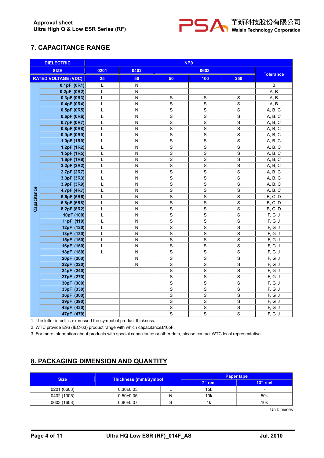

# 7. CAPACITANCE RANGE

|             | <b>DIELECTRIC</b>          |      |                         | NP <sub>0</sub> |                |                |                  |
|-------------|----------------------------|------|-------------------------|-----------------|----------------|----------------|------------------|
|             | <b>SIZE</b>                | 0201 | 0402                    |                 | 0603           |                | <b>Tolerance</b> |
|             | <b>RATED VOLTAGE (VDC)</b> | 25   | 50                      | 50              | 100            | 250            |                  |
|             | 0.1pF(0R1)                 | L    | N                       |                 |                |                | B                |
|             | 0.2pF (0R2)                | L    | N                       |                 |                |                | A, B             |
|             | 0.3pF (0R3)                | L    | N                       | $\mathbf S$     | $\mathbf S$    | $\mathbf S$    | A, B             |
|             | 0.4pF (0R4)                | L    | N                       | $\mathbf S$     | $\mathbf S$    | $\mathbf S$    | A, B             |
|             | 0.5pF (0R5)                | L    | N                       | $\mathsf{s}$    | $\mathbf S$    | $\mathbf S$    | A, B, C          |
|             | 0.6pF (0R6)                | L    | N                       | $\mathbf S$     | $\mathbf S$    | $\mathbf S$    | A, B, C          |
|             | 0.7pF (0R7)                | L    | N                       | $\mathbf S$     | $\mathbf S$    | $\mathbf S$    | A, B, C          |
|             | 0.8pF (0R8)                | L    | N                       | $\mathbf S$     | $\mathbf S$    | $\mathbf S$    | A, B, C          |
|             | 0.9pF (0R9)                | L    | N                       | $\overline{s}$  | $\overline{s}$ | $\mathbf S$    | A, B, C          |
|             | 1.0pF (1R0)                | L    | ${\sf N}$               | $\mathbf S$     | $\mathbf S$    | $\mathbf S$    | A, B, C          |
|             | 1.2pF (1R2)                | L    | N                       | $\mathbf S$     | $\mathbf S$    | S              | A, B, C          |
|             | 1.5pF (1R5)                | L    | $\mathsf{N}$            | $\overline{s}$  | $\overline{s}$ | $\overline{s}$ | A, B, C          |
|             | 1.8pF (1R8)                | L    | N                       | $\overline{s}$  | $\overline{s}$ | $\overline{s}$ | A, B, C          |
|             | 2.2pF (2R2)                | L    | $\mathsf{N}$            | $\mathbf S$     | $\mathbf S$    | $\mathbf S$    | A, B, C          |
|             | 2.7pF (2R7)                | L    | ${\sf N}$               | $\overline{s}$  | $\mathbf S$    | $\mathbf S$    | A, B, C          |
|             | 3.3pF (3R3)                | L    | N                       | $\overline{s}$  | S              | S              | A, B, C          |
|             | 3.9pF (3R9)                | L    | ${\sf N}$               | $\overline{s}$  | $\overline{s}$ | $\mathbf S$    | A, B, C          |
|             | 4.7pF (4R7)                | L    | N                       | $\overline{s}$  | $\mathbf S$    | $\mathbf S$    | A, B, C          |
| Capacitance | 5.6pF (5R6)                | L    | N                       | $\mathbf S$     | $\mathbf S$    | $\mathbf S$    | <b>B</b> , C, D  |
|             | 6.8pF (6R8)                | L    | N                       | $\mathbf S$     | $\mathbf S$    | $\mathbf S$    | <b>B</b> , C, D  |
|             | 8.2pF (8R2)                | L    | $\mathsf{N}$            | $\overline{s}$  | $\mathbf S$    | $\mathbf S$    | <b>B</b> , C, D  |
|             | 10pF (100)                 | L    | $\mathsf{N}$            | $\overline{s}$  | $\overline{s}$ | $\overline{s}$ | F, G, J          |
|             | 11pF (110)                 | L    | $\overline{\mathsf{N}}$ | $\overline{s}$  | $\overline{s}$ | $\mathbf S$    | F, G, J          |
|             | 12pF (120)                 | L    | ${\sf N}$               | $\mathbf S$     | $\mathsf S$    | $\mathbf S$    | F, G, J          |
|             | 13pF (130)                 | L    | ${\sf N}$               | $\mathbf S$     | $\mathbf S$    | $\mathbf S$    | F, G, J          |
|             | 15pF (150)                 | L    | ${\sf N}$               | $\mathbf S$     | $\mathbf S$    | $\mathbf S$    | F, G, J          |
|             | 16pF (160)                 | L    | N                       | $\mathbf S$     | $\mathbf S$    | $\mathbf S$    | F, G, J          |
|             | 18pF (180)                 | L    | N                       | $\mathsf{s}$    | $\mathbf S$    | $\mathbf S$    | F, G, J          |
|             | 20pF (200)                 |      | N                       | $\mathbf S$     | $\mathbf S$    | $\mathbf S$    | F, G, J          |
|             | 22pF (220)                 |      | N                       | $\mathbf S$     | $\mathbf S$    | $\mathbf S$    | F, G, J          |
|             | 24pF (240)                 |      |                         | $\overline{s}$  | $\overline{s}$ | $\overline{s}$ | F, G, J          |
|             | 27pF (270)                 |      |                         | $\overline{s}$  | $\overline{s}$ | $\overline{s}$ | F, G, J          |
|             | 30pF (300)                 |      |                         | $\mathbf S$     | $\mathbf S$    | $\mathbf S$    | F, G, J          |
|             | 33pF (330)                 |      |                         | $\mathbf S$     | $\mathbf S$    | $\mathbf S$    | F, G, J          |
|             | 36pF (360)                 |      |                         | $\overline{s}$  | $\mathbf S$    | $\mathbf S$    | F, G, J          |
|             | 39pF (390)                 |      |                         | $\overline{s}$  | $\mathbf S$    | $\mathbf S$    | F, G, J          |
|             | 43pF (430)                 |      |                         | $\mathsf{s}$    | $\mathbf S$    | $\mathbf S$    | F, G, J          |
|             | 47pF (470)                 |      |                         | $\mathbf S$     | $\mathbf S$    | $\mathbf S$    | F, G, J          |

1. The letter in cell is expressed the symbol of product thickness.

2. WTC provide E96 (IEC-63) product range with which capacitance≤10pF.

3. For more information about products with special capacitance or other data, please contact WTC local representative.

# 8. PACKAGING DIMENSION AND QUANTITY

| <b>Size</b> |                              |   | <b>Paper tape</b> |                          |  |
|-------------|------------------------------|---|-------------------|--------------------------|--|
|             | <b>Thickness (mm)/Symbol</b> |   | 7" reel           | 13" reel                 |  |
| 0201 (0603) | $0.30 \pm 0.03$              |   | 15k               | $\overline{\phantom{0}}$ |  |
| 0402 (1005) | $0.50 \pm 0.05$              | N | 10k               | 50 <sub>k</sub>          |  |
| 0603 (1608) | $0.80 + 0.07$                |   | 4k                | 10k                      |  |

Unit: pieces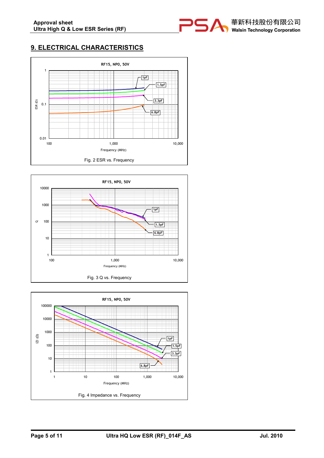

# 9. ELECTRICAL CHARACTERISTICS





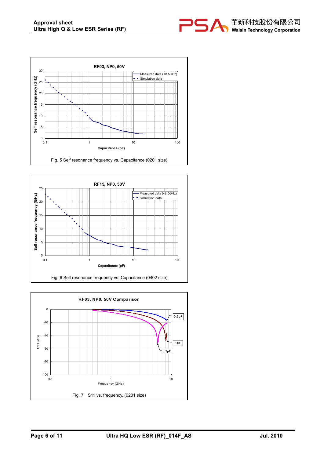





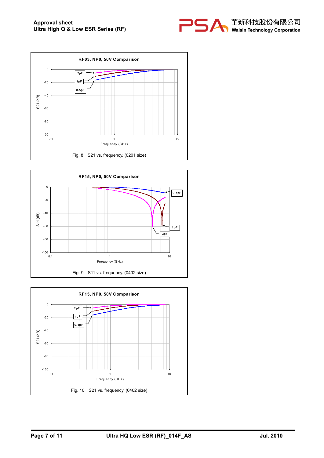





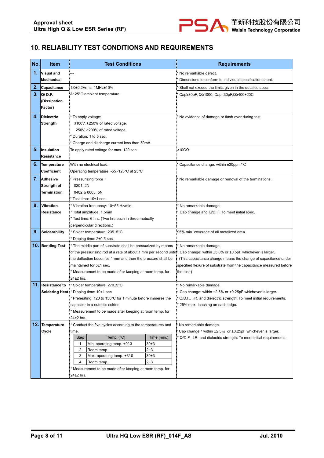

# 10. RELIABILITY TEST CONDITIONS AND REQUIREMENTS

| No. | <b>Item</b>        | <b>Test Conditions</b>                                             | <b>Requirements</b>                                                                |
|-----|--------------------|--------------------------------------------------------------------|------------------------------------------------------------------------------------|
| 1.  | Visual and         |                                                                    | No remarkable defect.                                                              |
|     | Mechanical         |                                                                    | Dimensions to conform to individual specification sheet.                           |
| 2.  | Capacitance        | 1.0±0.2Vrms, 1MHz±10%                                              | Shall not exceed the limits given in the detailed spec.                            |
| 3.  | Q/D.F.             | At 25°C ambient temperature.                                       | Cap≥30pF, Q≥1000; Cap<30pF, Q≥400+20C                                              |
|     | (Dissipation       |                                                                    |                                                                                    |
|     | Factor)            |                                                                    |                                                                                    |
|     |                    |                                                                    |                                                                                    |
| 4.  | Dielectric         | * To apply voltage:                                                | No evidence of damage or flash over during test.                                   |
|     | Strength           | ≤100V, ≥250% of rated voltage.                                     |                                                                                    |
|     |                    | 250V, ≥200% of rated voltage.                                      |                                                                                    |
|     |                    | Duration: 1 to 5 sec.                                              |                                                                                    |
|     |                    | Charge and discharge current less than 50mA.                       |                                                                                    |
| 5.  | Insulation         | To apply rated voltage for max. 120 sec.                           | ≩10GΩ                                                                              |
|     | Resistance         |                                                                    |                                                                                    |
| 6.  | <b>Temperature</b> | With no electrical load.                                           | Capacitance change: within ±30ppm/°C                                               |
|     | Coefficient        | Operating temperature: -55~125°C at 25°C                           |                                                                                    |
| 7.  | Adhesive           | Pressurizing force:                                                | No remarkable damage or removal of the terminations.                               |
|     | Strength of        | 0201:2N                                                            |                                                                                    |
|     | Termination        | 0402 & 0603: 5N                                                    |                                                                                    |
|     |                    | Test time: 10±1 sec.                                               |                                                                                    |
| 8.  | Vibration          | Vibration frequency: 10~55 Hz/min.                                 | No remarkable damage.                                                              |
|     | <b>Resistance</b>  | Total amplitude: 1.5mm                                             | Cap change and Q/D.F.: To meet initial spec.                                       |
|     |                    | Test time: 6 hrs. (Two hrs each in three mutually                  |                                                                                    |
|     |                    | perpendicular directions.)                                         |                                                                                    |
| 9.  | Solderability      | Solder temperature: 235±5°C                                        | 95% min. coverage of all metalized area.                                           |
|     |                    | Dipping time: 2±0.5 sec.                                           |                                                                                    |
|     | 10. Bending Test   | * The middle part of substrate shall be pressurized by means       | No remarkable damage.                                                              |
|     |                    | of the pressurizing rod at a rate of about 1 mm per second until:* | Cap change: within ±5.0% or ±0.5pF whichever is larger.                            |
|     |                    | the deflection becomes 1 mm and then the pressure shall be         | (This capacitance change means the change of capacitance under                     |
|     |                    | maintained for 5±1 sec.                                            | specified flexure of substrate from the capacitance measured before                |
|     |                    | Measurement to be made after keeping at room temp. for             | the test.)                                                                         |
|     |                    | $24\pm2$ hrs.                                                      |                                                                                    |
|     | 11. Resistance to  | * Solder temperature: 270±5°C                                      | No remarkable damage.                                                              |
|     |                    | Soldering Heat: * Dipping time: 10±1 sec                           | Cap change: within ±2.5% or ±0.25pF whichever is larger.                           |
|     |                    | Preheating: 120 to 150°C for 1 minute before immerse the           | Q/D.F., I.R. and dielectric strength: To meet initial requirements.                |
|     |                    | capacitor in a eutectic solder.                                    | 25% max. leaching on each edge.                                                    |
|     |                    | Measurement to be made after keeping at room temp. for             |                                                                                    |
|     |                    | 24±2 hrs.                                                          |                                                                                    |
|     | 12. Temperature    | Conduct the five cycles according to the temperatures and          | No remarkable damage.                                                              |
|     | Cycle              | time.                                                              | Cap change: within $\pm 2.5\%$ or $\pm 0.25$ pF whichever is larger.               |
|     |                    | Temp. $(^{\circ}C)$<br><b>Step</b>                                 | Time (min.)<br>Q/D.F., I.R. and dielectric strength: To meet initial requirements. |
|     |                    | $\mathbf{1}$<br>Min. operating temp. +0/-3<br>30±3                 |                                                                                    |
|     |                    | $2 - 3$<br>$\overline{2}$<br>Room temp.                            |                                                                                    |
|     |                    | 3<br>Max. operating temp. +3/-0<br>30±3                            |                                                                                    |
|     |                    | $2 - 3$<br>4<br>Room temp.                                         |                                                                                    |
|     |                    | Measurement to be made after keeping at room temp. for             |                                                                                    |
|     |                    | 24±2 hrs.                                                          |                                                                                    |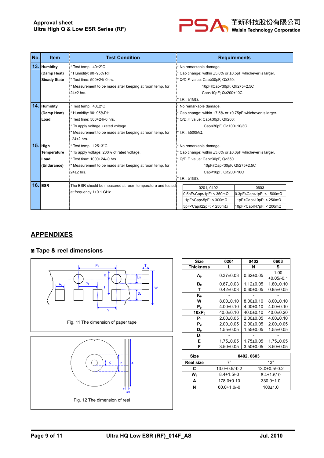

| No. | <b>Item</b>         | <b>Test Condition</b>                                      | <b>Requirements</b>                                                                                                      |  |  |
|-----|---------------------|------------------------------------------------------------|--------------------------------------------------------------------------------------------------------------------------|--|--|
|     | 13. Humidity        | * Test temp.: 40±2°C                                       | No remarkable damage.                                                                                                    |  |  |
|     | (Damp Heat)         | * Humidity: 90~95% RH                                      | Cap change: within ±5.0% or ±0.5pF whichever is larger.                                                                  |  |  |
|     | <b>Steady State</b> | * Test time: 500+24/-0hrs.                                 | Q/D.F. value: Cap≥30pF, Q≥350;                                                                                           |  |  |
|     |                     | Measurement to be made after keeping at room temp. for     | 10pF≤Cap<30pF, Q≥275+2.5C                                                                                                |  |  |
|     |                     | $24+2$ hrs.                                                | Cap<10pF; Q≥200+10C                                                                                                      |  |  |
|     |                     |                                                            | * $LR: \geq 1$ GO.                                                                                                       |  |  |
|     | 14. Humidity        | Test temp.: 40±2°C                                         | No remarkable damage.                                                                                                    |  |  |
|     | (Damp Heat)         | Humidity: 90~95%RH                                         | Cap change: within ±7.5% or ±0.75pF whichever is larger.                                                                 |  |  |
|     | Load                | Test time: 500+24/-0 hrs.                                  | Q/D.F. value: Cap≥30pF, Q≥200;                                                                                           |  |  |
|     |                     | To apply voltage: rated voltage                            | Cap<30pF, Q≥100+10/3C                                                                                                    |  |  |
|     |                     | Measurement to be made after keeping at room temp. for     | $\cdot$ I.R.: ≥500MΩ.                                                                                                    |  |  |
|     |                     | $24\pm2$ hrs.                                              |                                                                                                                          |  |  |
|     | $15.$ High          | Test temp.: 125±3°C                                        | No remarkable damage.                                                                                                    |  |  |
|     | <b>Temperature</b>  | To apply voltage: 200% of rated voltage.                   | Cap change: within ±3.0% or ±0.3pF whichever is larger.                                                                  |  |  |
|     | Load                | * Test time: 1000+24/-0 hrs.                               | Q/D.F. value: Cap≥30pF, Q≥350                                                                                            |  |  |
|     | (Endurance)         | Measurement to be made after keeping at room temp. for     | 10pF≤Cap<30pF, Q≥275+2.5C                                                                                                |  |  |
|     |                     | 24+2 hrs.                                                  | Cap<10pF, Q≥200+10C                                                                                                      |  |  |
|     |                     |                                                            | * $LR: \geq 1$ GO.                                                                                                       |  |  |
|     | $16.$ ESR           | The ESR should be measured at room temperature and tested. | 0603<br>0201, 0402                                                                                                       |  |  |
|     |                     | at frequency 1±0.1 GHz.                                    | $0.5pF \leq Cap \leq 1pF$ : < 350m $\Omega$<br>$0.3pF \leq Cap \leq 1pF$ : < 1500m $\Omega$                              |  |  |
|     |                     |                                                            | 1pF <cap<math>\leq5pF: &lt; 300m<math>\Omega</math><br/>1pF<cap≤10pf: 250m<math="" <="">\Omega</cap≤10pf:></cap<math>    |  |  |
|     |                     |                                                            | 10pF <cap≤47pf: 200mω<br="" <=""><math>5pF &lt;</math>Cap<math>\leq</math>22pF: &lt; 250m<math>\Omega</math></cap≤47pf:> |  |  |

## **APPENDIXES**

## ◙ Tape & reel dimensions



Fig. 11 The dimension of paper tape



| <b>Size</b>      | 0201            | 0402            | 0603                 |
|------------------|-----------------|-----------------|----------------------|
| <b>Thickness</b> |                 | N               | s                    |
| A۰               | $0.37 \pm 0.03$ | $0.62 \pm 0.05$ | 1.00<br>$+0.05/-0.1$ |
| B <sub>0</sub>   | $0.67 \pm 0.03$ | $1.12 \pm 0.05$ | $1.80 + 0.10$        |
| т                | $0.42 \pm 0.03$ | $0.60 \pm 0.05$ | $0.95 \pm 0.05$      |
| K <sub>0</sub>   |                 |                 |                      |
| W                | $8.00+0.10$     | $8.00 \pm 0.10$ | $8.00 \pm 0.10$      |
| $P_0$            | $4.00+0.10$     | $4.00+0.10$     | $4.00 \pm 0.10$      |
| $10xP_0$         | $40.0 \pm 0.10$ | $40.0+0.10$     | $40.0 \pm 0.20$      |
| P,               | $2.00 \pm 0.05$ | $2.00+0.05$     | $4.00+0.10$          |
| P <sub>2</sub>   | $2.00 \pm 0.05$ | $2.00+0.05$     | $2.00+0.05$          |
| D0               | $1.55 \pm 0.05$ | $1.55 \pm 0.05$ | $1.55 \pm 0.05$      |
| D,               |                 |                 |                      |
| Е                | $1.75 \pm 0.05$ | 1.75±0.05       | $1.75 \pm 0.05$      |
| F                | $3.50 \pm 0.05$ | $3.50 + 0.05$   | $3.50 + 0.05$        |
|                  |                 |                 |                      |

| <b>Size</b>      | 0402, 0603        |                   |  |  |  |
|------------------|-------------------|-------------------|--|--|--|
| <b>Reel size</b> | 7"                | 13"               |  |  |  |
| c                | $13.0 + 0.5/-0.2$ | $13.0 + 0.5/-0.2$ |  |  |  |
| w.               | $8.4 + 1.5/-0$    | $8.4 + 1.5/-0$    |  |  |  |
|                  | 178.0±0.10        | $330.0 \pm 1.0$   |  |  |  |
|                  | $60.0 + 1.0/-0$   | $100+1.0$         |  |  |  |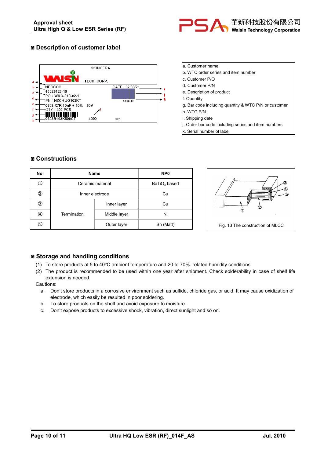

## ◙ Description of customer label



- a. Customer name
- b. WTC order series and item number
- c. Customer P/O
- d. Customer P/N
- e. Description of product
- f. Quantity
- g. Bar code including quantity & WTC P/N or customer
- h. WTC P/N
- i. Shipping date
- j. Order bar code including series and item numbers
- k. Serial number of label

#### ◙ Constructions

| No. | <b>Name</b>      | NP <sub>0</sub> |           |
|-----|------------------|-----------------|-----------|
| ⊕   | Ceramic material | $BaTiO3$ based  |           |
| ②   | Inner electrode  | Cu              |           |
| ③   |                  | Inner layer     | Cu        |
| ④   | Termination      | Middle layer    | Ni        |
| ௫   |                  | Outer layer     | Sn (Matt) |



### ◙ Storage and handling conditions

- (1) To store products at 5 to 40°C ambient temperature and 20 to 70%. related humidity conditions.
- (2) The product is recommended to be used within one year after shipment. Check solderability in case of shelf life extension is needed.

Cautions:

- a. Don't store products in a corrosive environment such as sulfide, chloride gas, or acid. It may cause oxidization of electrode, which easily be resulted in poor soldering.
- b. To store products on the shelf and avoid exposure to moisture.
- c. Don't expose products to excessive shock, vibration, direct sunlight and so on.